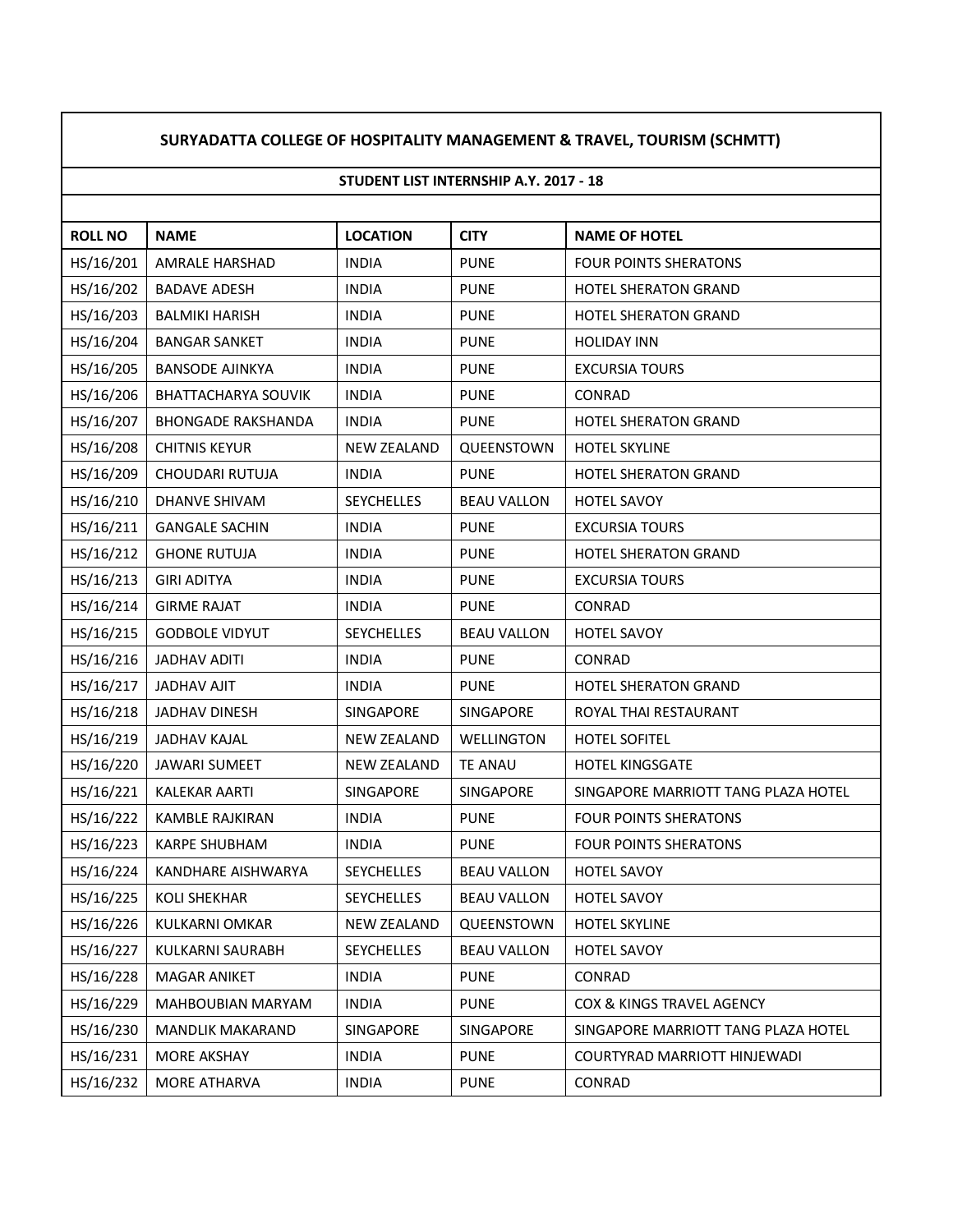## **SURYADATTA COLLEGE OF HOSPITALITY MANAGEMENT & TRAVEL, TOURISM (SCHMTT)**

## **STUDENT LIST INTERNSHIP A.Y. 2017 - 18**

| <b>ROLL NO</b> | <b>NAME</b>                | <b>LOCATION</b>    | <b>CITY</b>        | <b>NAME OF HOTEL</b>                |
|----------------|----------------------------|--------------------|--------------------|-------------------------------------|
| HS/16/201      | AMRALE HARSHAD             | <b>INDIA</b>       | <b>PUNE</b>        | <b>FOUR POINTS SHERATONS</b>        |
| HS/16/202      | <b>BADAVE ADESH</b>        | <b>INDIA</b>       | <b>PUNE</b>        | HOTEL SHERATON GRAND                |
| HS/16/203      | <b>BALMIKI HARISH</b>      | <b>INDIA</b>       | <b>PUNE</b>        | <b>HOTEL SHERATON GRAND</b>         |
| HS/16/204      | <b>BANGAR SANKET</b>       | <b>INDIA</b>       | <b>PUNE</b>        | <b>HOLIDAY INN</b>                  |
| HS/16/205      | <b>BANSODE AJINKYA</b>     | <b>INDIA</b>       | <b>PUNE</b>        | <b>EXCURSIA TOURS</b>               |
| HS/16/206      | <b>BHATTACHARYA SOUVIK</b> | <b>INDIA</b>       | <b>PUNE</b>        | <b>CONRAD</b>                       |
| HS/16/207      | <b>BHONGADE RAKSHANDA</b>  | <b>INDIA</b>       | <b>PUNE</b>        | <b>HOTEL SHERATON GRAND</b>         |
| HS/16/208      | <b>CHITNIS KEYUR</b>       | <b>NEW ZEALAND</b> | QUEENSTOWN         | <b>HOTEL SKYLINE</b>                |
| HS/16/209      | CHOUDARI RUTUJA            | <b>INDIA</b>       | <b>PUNE</b>        | <b>HOTEL SHERATON GRAND</b>         |
| HS/16/210      | DHANVE SHIVAM              | <b>SEYCHELLES</b>  | <b>BEAU VALLON</b> | <b>HOTEL SAVOY</b>                  |
| HS/16/211      | <b>GANGALE SACHIN</b>      | <b>INDIA</b>       | <b>PUNE</b>        | <b>EXCURSIA TOURS</b>               |
| HS/16/212      | <b>GHONE RUTUJA</b>        | <b>INDIA</b>       | <b>PUNE</b>        | <b>HOTEL SHERATON GRAND</b>         |
| HS/16/213      | <b>GIRI ADITYA</b>         | <b>INDIA</b>       | <b>PUNE</b>        | <b>EXCURSIA TOURS</b>               |
| HS/16/214      | <b>GIRME RAJAT</b>         | <b>INDIA</b>       | <b>PUNE</b>        | CONRAD                              |
| HS/16/215      | <b>GODBOLE VIDYUT</b>      | <b>SEYCHELLES</b>  | <b>BEAU VALLON</b> | <b>HOTEL SAVOY</b>                  |
| HS/16/216      | <b>JADHAV ADITI</b>        | <b>INDIA</b>       | <b>PUNE</b>        | CONRAD                              |
| HS/16/217      | <b>JADHAV AJIT</b>         | <b>INDIA</b>       | <b>PUNE</b>        | <b>HOTEL SHERATON GRAND</b>         |
| HS/16/218      | JADHAV DINESH              | SINGAPORE          | SINGAPORE          | ROYAL THAI RESTAURANT               |
| HS/16/219      | <b>JADHAV KAJAL</b>        | <b>NEW ZEALAND</b> | WELLINGTON         | <b>HOTEL SOFITEL</b>                |
| HS/16/220      | <b>JAWARI SUMEET</b>       | <b>NEW ZEALAND</b> | <b>TE ANAU</b>     | <b>HOTEL KINGSGATE</b>              |
| HS/16/221      | <b>KALEKAR AARTI</b>       | SINGAPORE          | SINGAPORE          | SINGAPORE MARRIOTT TANG PLAZA HOTEL |
| HS/16/222      | <b>KAMBLE RAJKIRAN</b>     | <b>INDIA</b>       | <b>PUNE</b>        | <b>FOUR POINTS SHERATONS</b>        |
| HS/16/223      | <b>KARPE SHUBHAM</b>       | <b>INDIA</b>       | <b>PUNE</b>        | <b>FOUR POINTS SHERATONS</b>        |
| HS/16/224      | KANDHARE AISHWARYA         | <b>SEYCHELLES</b>  | <b>BEAU VALLON</b> | <b>HOTEL SAVOY</b>                  |
| HS/16/225      | <b>KOLI SHEKHAR</b>        | SEYCHELLES         | <b>BEAU VALLON</b> | HOTEL SAVOY                         |
| HS/16/226      | KULKARNI OMKAR             | NEW ZEALAND        | QUEENSTOWN         | <b>HOTEL SKYLINE</b>                |
| HS/16/227      | KULKARNI SAURABH           | <b>SEYCHELLES</b>  | <b>BEAU VALLON</b> | HOTEL SAVOY                         |
| HS/16/228      | <b>MAGAR ANIKET</b>        | <b>INDIA</b>       | <b>PUNE</b>        | CONRAD                              |
| HS/16/229      | <b>MAHBOUBIAN MARYAM</b>   | <b>INDIA</b>       | <b>PUNE</b>        | COX & KINGS TRAVEL AGENCY           |
| HS/16/230      | <b>MANDLIK MAKARAND</b>    | SINGAPORE          | SINGAPORE          | SINGAPORE MARRIOTT TANG PLAZA HOTEL |
| HS/16/231      | MORE AKSHAY                | <b>INDIA</b>       | <b>PUNE</b>        | COURTYRAD MARRIOTT HINJEWADI        |
| HS/16/232      | MORE ATHARVA               | <b>INDIA</b>       | <b>PUNE</b>        | CONRAD                              |
|                |                            |                    |                    |                                     |